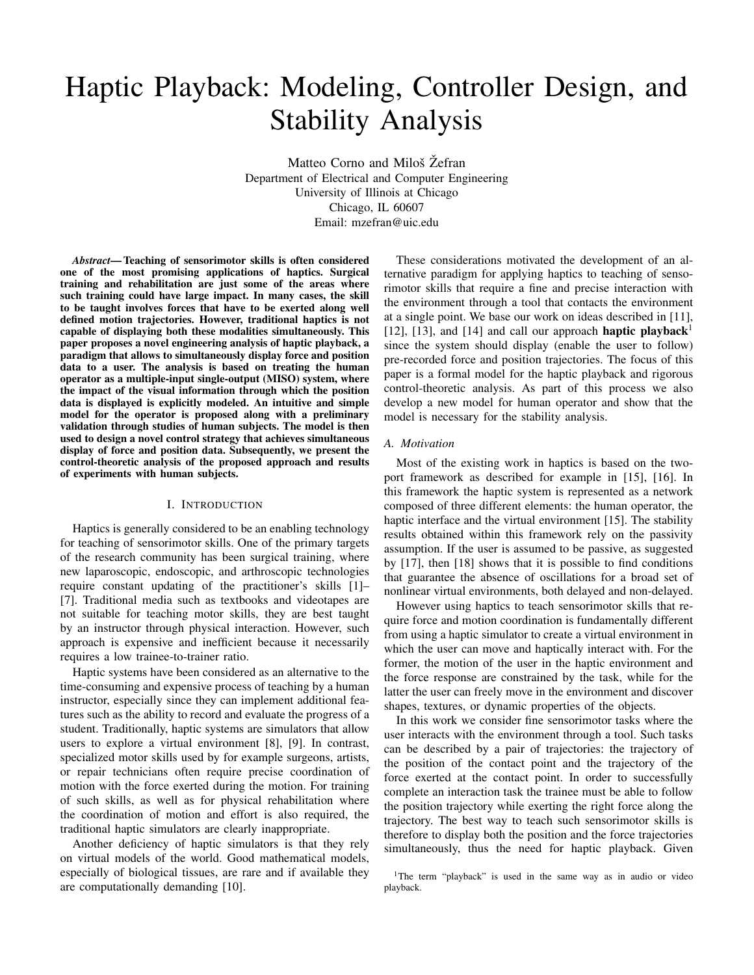# Haptic Playback: Modeling, Controller Design, and Stability Analysis

Matteo Corno and Miloš Žefran Department of Electrical and Computer Engineering University of Illinois at Chicago Chicago, IL 60607 Email: mzefran@uic.edu

*Abstract*— Teaching of sensorimotor skills is often considered one of the most promising applications of haptics. Surgical training and rehabilitation are just some of the areas where such training could have large impact. In many cases, the skill to be taught involves forces that have to be exerted along well defined motion trajectories. However, traditional haptics is not capable of displaying both these modalities simultaneously. This paper proposes a novel engineering analysis of haptic playback, a paradigm that allows to simultaneously display force and position data to a user. The analysis is based on treating the human operator as a multiple-input single-output (MISO) system, where the impact of the visual information through which the position data is displayed is explicitly modeled. An intuitive and simple model for the operator is proposed along with a preliminary validation through studies of human subjects. The model is then used to design a novel control strategy that achieves simultaneous display of force and position data. Subsequently, we present the control-theoretic analysis of the proposed approach and results of experiments with human subjects.

### I. INTRODUCTION

Haptics is generally considered to be an enabling technology for teaching of sensorimotor skills. One of the primary targets of the research community has been surgical training, where new laparoscopic, endoscopic, and arthroscopic technologies require constant updating of the practitioner's skills [1]– [7]. Traditional media such as textbooks and videotapes are not suitable for teaching motor skills, they are best taught by an instructor through physical interaction. However, such approach is expensive and inefficient because it necessarily requires a low trainee-to-trainer ratio.

Haptic systems have been considered as an alternative to the time-consuming and expensive process of teaching by a human instructor, especially since they can implement additional features such as the ability to record and evaluate the progress of a student. Traditionally, haptic systems are simulators that allow users to explore a virtual environment [8], [9]. In contrast, specialized motor skills used by for example surgeons, artists, or repair technicians often require precise coordination of motion with the force exerted during the motion. For training of such skills, as well as for physical rehabilitation where the coordination of motion and effort is also required, the traditional haptic simulators are clearly inappropriate.

Another deficiency of haptic simulators is that they rely on virtual models of the world. Good mathematical models, especially of biological tissues, are rare and if available they are computationally demanding [10].

These considerations motivated the development of an alternative paradigm for applying haptics to teaching of sensorimotor skills that require a fine and precise interaction with the environment through a tool that contacts the environment at a single point. We base our work on ideas described in [11], [12], [13], and [14] and call our approach **haptic playback**<sup>1</sup> since the system should display (enable the user to follow) pre-recorded force and position trajectories. The focus of this paper is a formal model for the haptic playback and rigorous control-theoretic analysis. As part of this process we also develop a new model for human operator and show that the model is necessary for the stability analysis.

#### *A. Motivation*

Most of the existing work in haptics is based on the twoport framework as described for example in [15], [16]. In this framework the haptic system is represented as a network composed of three different elements: the human operator, the haptic interface and the virtual environment [15]. The stability results obtained within this framework rely on the passivity assumption. If the user is assumed to be passive, as suggested by [17], then [18] shows that it is possible to find conditions that guarantee the absence of oscillations for a broad set of nonlinear virtual environments, both delayed and non-delayed.

However using haptics to teach sensorimotor skills that require force and motion coordination is fundamentally different from using a haptic simulator to create a virtual environment in which the user can move and haptically interact with. For the former, the motion of the user in the haptic environment and the force response are constrained by the task, while for the latter the user can freely move in the environment and discover shapes, textures, or dynamic properties of the objects.

In this work we consider fine sensorimotor tasks where the user interacts with the environment through a tool. Such tasks can be described by a pair of trajectories: the trajectory of the position of the contact point and the trajectory of the force exerted at the contact point. In order to successfully complete an interaction task the trainee must be able to follow the position trajectory while exerting the right force along the trajectory. The best way to teach such sensorimotor skills is therefore to display both the position and the force trajectories simultaneously, thus the need for haptic playback. Given

<sup>&</sup>lt;sup>1</sup>The term "playback" is used in the same way as in audio or video playback.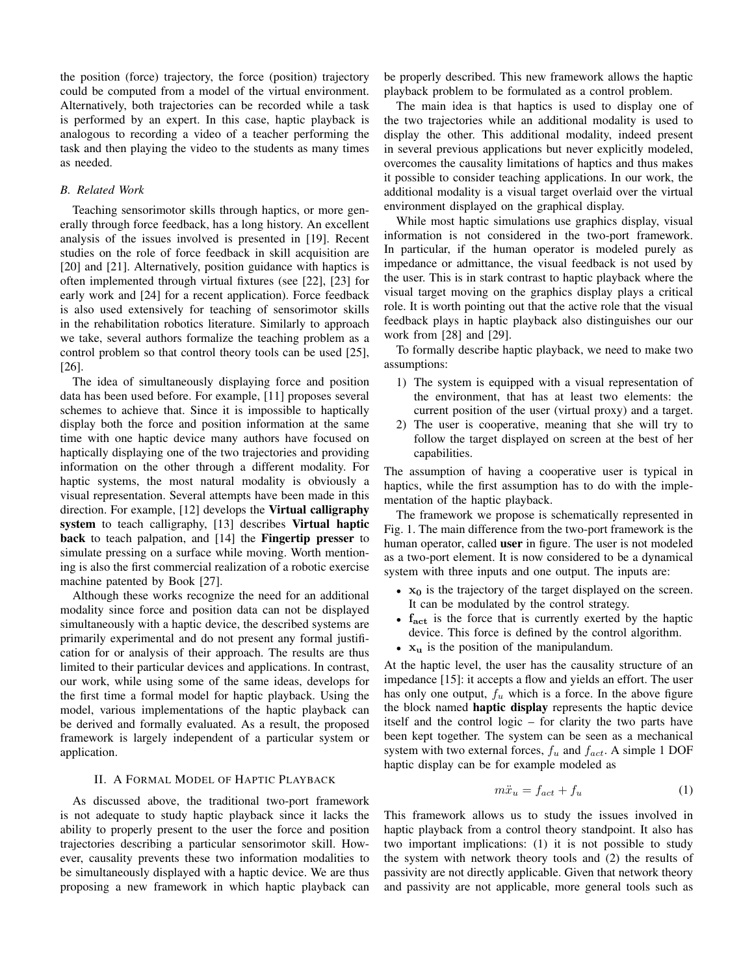the position (force) trajectory, the force (position) trajectory could be computed from a model of the virtual environment. Alternatively, both trajectories can be recorded while a task is performed by an expert. In this case, haptic playback is analogous to recording a video of a teacher performing the task and then playing the video to the students as many times as needed.

## *B. Related Work*

Teaching sensorimotor skills through haptics, or more generally through force feedback, has a long history. An excellent analysis of the issues involved is presented in [19]. Recent studies on the role of force feedback in skill acquisition are [20] and [21]. Alternatively, position guidance with haptics is often implemented through virtual fixtures (see [22], [23] for early work and [24] for a recent application). Force feedback is also used extensively for teaching of sensorimotor skills in the rehabilitation robotics literature. Similarly to approach we take, several authors formalize the teaching problem as a control problem so that control theory tools can be used [25], [26].

The idea of simultaneously displaying force and position data has been used before. For example, [11] proposes several schemes to achieve that. Since it is impossible to haptically display both the force and position information at the same time with one haptic device many authors have focused on haptically displaying one of the two trajectories and providing information on the other through a different modality. For haptic systems, the most natural modality is obviously a visual representation. Several attempts have been made in this direction. For example, [12] develops the Virtual calligraphy system to teach calligraphy, [13] describes Virtual haptic back to teach palpation, and [14] the Fingertip presser to simulate pressing on a surface while moving. Worth mentioning is also the first commercial realization of a robotic exercise machine patented by Book [27].

Although these works recognize the need for an additional modality since force and position data can not be displayed simultaneously with a haptic device, the described systems are primarily experimental and do not present any formal justification for or analysis of their approach. The results are thus limited to their particular devices and applications. In contrast, our work, while using some of the same ideas, develops for the first time a formal model for haptic playback. Using the model, various implementations of the haptic playback can be derived and formally evaluated. As a result, the proposed framework is largely independent of a particular system or application.

## II. A FORMAL MODEL OF HAPTIC PLAYBACK

As discussed above, the traditional two-port framework is not adequate to study haptic playback since it lacks the ability to properly present to the user the force and position trajectories describing a particular sensorimotor skill. However, causality prevents these two information modalities to be simultaneously displayed with a haptic device. We are thus proposing a new framework in which haptic playback can be properly described. This new framework allows the haptic playback problem to be formulated as a control problem.

The main idea is that haptics is used to display one of the two trajectories while an additional modality is used to display the other. This additional modality, indeed present in several previous applications but never explicitly modeled, overcomes the causality limitations of haptics and thus makes it possible to consider teaching applications. In our work, the additional modality is a visual target overlaid over the virtual environment displayed on the graphical display.

While most haptic simulations use graphics display, visual information is not considered in the two-port framework. In particular, if the human operator is modeled purely as impedance or admittance, the visual feedback is not used by the user. This is in stark contrast to haptic playback where the visual target moving on the graphics display plays a critical role. It is worth pointing out that the active role that the visual feedback plays in haptic playback also distinguishes our our work from [28] and [29].

To formally describe haptic playback, we need to make two assumptions:

- 1) The system is equipped with a visual representation of the environment, that has at least two elements: the current position of the user (virtual proxy) and a target.
- 2) The user is cooperative, meaning that she will try to follow the target displayed on screen at the best of her capabilities.

The assumption of having a cooperative user is typical in haptics, while the first assumption has to do with the implementation of the haptic playback.

The framework we propose is schematically represented in Fig. 1. The main difference from the two-port framework is the human operator, called user in figure. The user is not modeled as a two-port element. It is now considered to be a dynamical system with three inputs and one output. The inputs are:

- $x_0$  is the trajectory of the target displayed on the screen. It can be modulated by the control strategy.
- f<sub>act</sub> is the force that is currently exerted by the haptic device. This force is defined by the control algorithm.
- $x_u$  is the position of the manipulandum.

At the haptic level, the user has the causality structure of an impedance [15]: it accepts a flow and yields an effort. The user has only one output,  $f_u$  which is a force. In the above figure the block named haptic display represents the haptic device itself and the control logic – for clarity the two parts have been kept together. The system can be seen as a mechanical system with two external forces,  $f_u$  and  $f_{act}$ . A simple 1 DOF haptic display can be for example modeled as

$$
m\ddot{x}_u = f_{act} + f_u \tag{1}
$$

This framework allows us to study the issues involved in haptic playback from a control theory standpoint. It also has two important implications: (1) it is not possible to study the system with network theory tools and (2) the results of passivity are not directly applicable. Given that network theory and passivity are not applicable, more general tools such as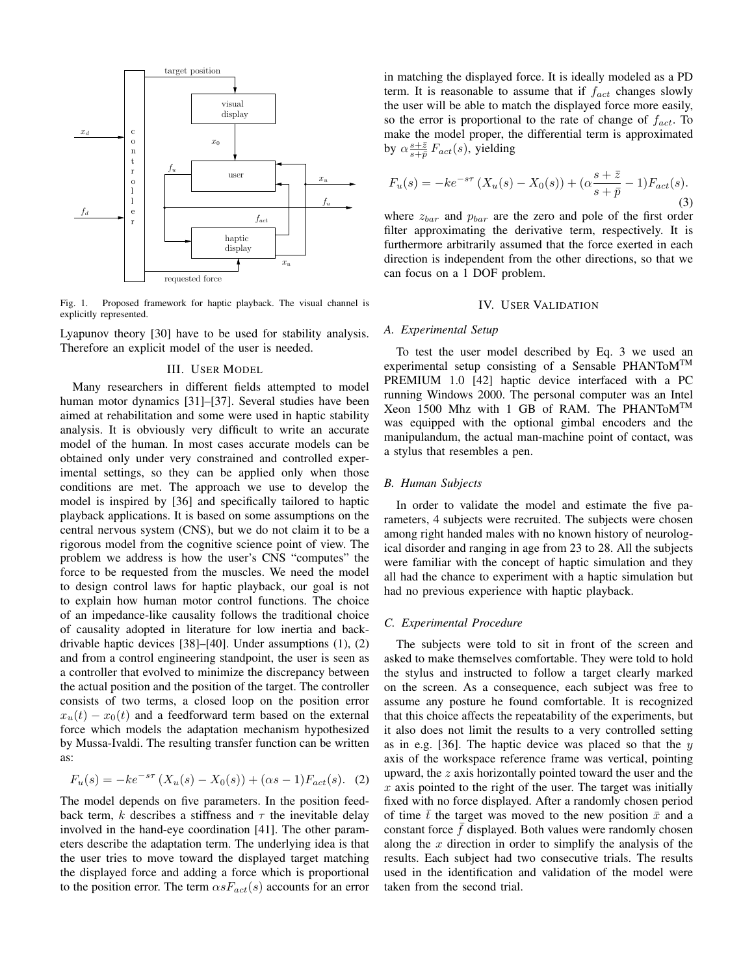

Fig. 1. Proposed framework for haptic playback. The visual channel is explicitly represented.

Lyapunov theory [30] have to be used for stability analysis. Therefore an explicit model of the user is needed.

#### III. USER MODEL

Many researchers in different fields attempted to model human motor dynamics [31]–[37]. Several studies have been aimed at rehabilitation and some were used in haptic stability analysis. It is obviously very difficult to write an accurate model of the human. In most cases accurate models can be obtained only under very constrained and controlled experimental settings, so they can be applied only when those conditions are met. The approach we use to develop the model is inspired by [36] and specifically tailored to haptic playback applications. It is based on some assumptions on the central nervous system (CNS), but we do not claim it to be a rigorous model from the cognitive science point of view. The problem we address is how the user's CNS "computes" the force to be requested from the muscles. We need the model to design control laws for haptic playback, our goal is not to explain how human motor control functions. The choice of an impedance-like causality follows the traditional choice of causality adopted in literature for low inertia and backdrivable haptic devices [38]–[40]. Under assumptions (1), (2) and from a control engineering standpoint, the user is seen as a controller that evolved to minimize the discrepancy between the actual position and the position of the target. The controller consists of two terms, a closed loop on the position error  $x_u(t) - x_0(t)$  and a feedforward term based on the external force which models the adaptation mechanism hypothesized by Mussa-Ivaldi. The resulting transfer function can be written as:

$$
F_u(s) = -ke^{-s\tau} \left( X_u(s) - X_0(s) \right) + (\alpha s - 1) F_{act}(s). \tag{2}
$$

The model depends on five parameters. In the position feedback term, k describes a stiffness and  $\tau$  the inevitable delay involved in the hand-eye coordination [41]. The other parameters describe the adaptation term. The underlying idea is that the user tries to move toward the displayed target matching the displayed force and adding a force which is proportional to the position error. The term  $\alpha s F_{act}(s)$  accounts for an error in matching the displayed force. It is ideally modeled as a PD term. It is reasonable to assume that if  $f_{act}$  changes slowly the user will be able to match the displayed force more easily, so the error is proportional to the rate of change of  $f_{act}$ . To make the model proper, the differential term is approximated by  $\alpha \frac{s+\bar{z}}{s+\bar{p}} F_{act}(s)$ , yielding

$$
F_u(s) = -ke^{-s\tau} (X_u(s) - X_0(s)) + (\alpha \frac{s + \bar{z}}{s + \bar{p}} - 1) F_{act}(s).
$$
\n(3)

where  $z_{bar}$  and  $p_{bar}$  are the zero and pole of the first order filter approximating the derivative term, respectively. It is furthermore arbitrarily assumed that the force exerted in each direction is independent from the other directions, so that we can focus on a 1 DOF problem.

## IV. USER VALIDATION

#### *A. Experimental Setup*

To test the user model described by Eq. 3 we used an experimental setup consisting of a Sensable PHANToMTM PREMIUM 1.0 [42] haptic device interfaced with a PC running Windows 2000. The personal computer was an Intel Xeon 1500 Mhz with 1 GB of RAM. The PHANToMTM was equipped with the optional gimbal encoders and the manipulandum, the actual man-machine point of contact, was a stylus that resembles a pen.

#### *B. Human Subjects*

In order to validate the model and estimate the five parameters, 4 subjects were recruited. The subjects were chosen among right handed males with no known history of neurological disorder and ranging in age from 23 to 28. All the subjects were familiar with the concept of haptic simulation and they all had the chance to experiment with a haptic simulation but had no previous experience with haptic playback.

## *C. Experimental Procedure*

The subjects were told to sit in front of the screen and asked to make themselves comfortable. They were told to hold the stylus and instructed to follow a target clearly marked on the screen. As a consequence, each subject was free to assume any posture he found comfortable. It is recognized that this choice affects the repeatability of the experiments, but it also does not limit the results to a very controlled setting as in e.g. [36]. The haptic device was placed so that the  $y$ axis of the workspace reference frame was vertical, pointing upward, the z axis horizontally pointed toward the user and the  $x$  axis pointed to the right of the user. The target was initially fixed with no force displayed. After a randomly chosen period of time  $\bar{t}$  the target was moved to the new position  $\bar{x}$  and a constant force  $f$  displayed. Both values were randomly chosen along the  $x$  direction in order to simplify the analysis of the results. Each subject had two consecutive trials. The results used in the identification and validation of the model were taken from the second trial.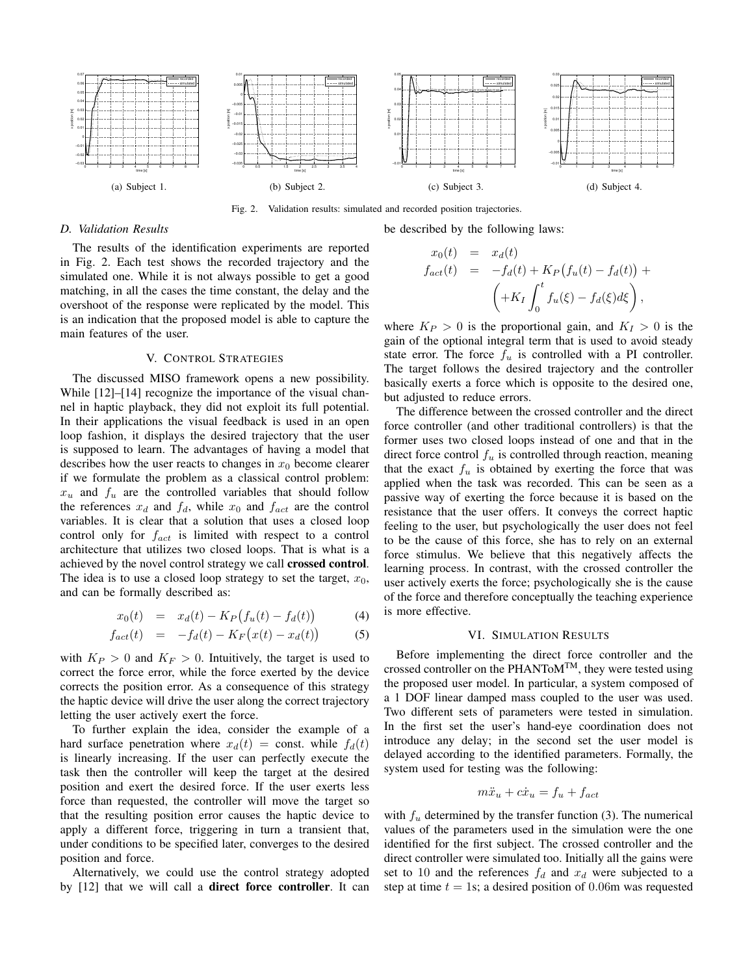

Fig. 2. Validation results: simulated and recorded position trajectories.

## *D. Validation Results*

The results of the identification experiments are reported in Fig. 2. Each test shows the recorded trajectory and the simulated one. While it is not always possible to get a good matching, in all the cases the time constant, the delay and the overshoot of the response were replicated by the model. This is an indication that the proposed model is able to capture the main features of the user.

## V. CONTROL STRATEGIES

The discussed MISO framework opens a new possibility. While [12]–[14] recognize the importance of the visual channel in haptic playback, they did not exploit its full potential. In their applications the visual feedback is used in an open loop fashion, it displays the desired trajectory that the user is supposed to learn. The advantages of having a model that describes how the user reacts to changes in  $x_0$  become clearer if we formulate the problem as a classical control problem:  $x_u$  and  $f_u$  are the controlled variables that should follow the references  $x_d$  and  $f_d$ , while  $x_0$  and  $f_{act}$  are the control variables. It is clear that a solution that uses a closed loop control only for  $f_{act}$  is limited with respect to a control architecture that utilizes two closed loops. That is what is a achieved by the novel control strategy we call crossed control. The idea is to use a closed loop strategy to set the target,  $x_0$ , and can be formally described as:

$$
x_0(t) = x_d(t) - K_P(f_u(t) - f_d(t)) \tag{4}
$$

$$
f_{act}(t) = -f_d(t) - K_F(x(t) - x_d(t))
$$
 (5)

with  $K_P > 0$  and  $K_F > 0$ . Intuitively, the target is used to correct the force error, while the force exerted by the device corrects the position error. As a consequence of this strategy the haptic device will drive the user along the correct trajectory letting the user actively exert the force.

To further explain the idea, consider the example of a hard surface penetration where  $x_d(t) = \text{const.}$  while  $f_d(t)$ is linearly increasing. If the user can perfectly execute the task then the controller will keep the target at the desired position and exert the desired force. If the user exerts less force than requested, the controller will move the target so that the resulting position error causes the haptic device to apply a different force, triggering in turn a transient that, under conditions to be specified later, converges to the desired position and force.

Alternatively, we could use the control strategy adopted by [12] that we will call a direct force controller. It can

$$
x_0(t) = x_d(t)
$$
  
\n
$$
f_{act}(t) = -f_d(t) + K_P(f_u(t) - f_d(t)) +
$$
  
\n
$$
\left( +K_I \int_0^t f_u(\xi) - f_d(\xi) d\xi \right),
$$

be described by the following laws:

where  $K_P > 0$  is the proportional gain, and  $K_I > 0$  is the gain of the optional integral term that is used to avoid steady state error. The force  $f_u$  is controlled with a PI controller. The target follows the desired trajectory and the controller basically exerts a force which is opposite to the desired one, but adjusted to reduce errors.

The difference between the crossed controller and the direct force controller (and other traditional controllers) is that the former uses two closed loops instead of one and that in the direct force control  $f_u$  is controlled through reaction, meaning that the exact  $f_u$  is obtained by exerting the force that was applied when the task was recorded. This can be seen as a passive way of exerting the force because it is based on the resistance that the user offers. It conveys the correct haptic feeling to the user, but psychologically the user does not feel to be the cause of this force, she has to rely on an external force stimulus. We believe that this negatively affects the learning process. In contrast, with the crossed controller the user actively exerts the force; psychologically she is the cause of the force and therefore conceptually the teaching experience is more effective.

#### VI. SIMULATION RESULTS

Before implementing the direct force controller and the crossed controller on the PHANToMTM, they were tested using the proposed user model. In particular, a system composed of a 1 DOF linear damped mass coupled to the user was used. Two different sets of parameters were tested in simulation. In the first set the user's hand-eye coordination does not introduce any delay; in the second set the user model is delayed according to the identified parameters. Formally, the system used for testing was the following:

$$
m\ddot{x}_u + c\dot{x}_u = f_u + f_{act}
$$

with  $f_u$  determined by the transfer function (3). The numerical values of the parameters used in the simulation were the one identified for the first subject. The crossed controller and the direct controller were simulated too. Initially all the gains were set to 10 and the references  $f_d$  and  $x_d$  were subjected to a step at time  $t = 1$ s; a desired position of 0.06m was requested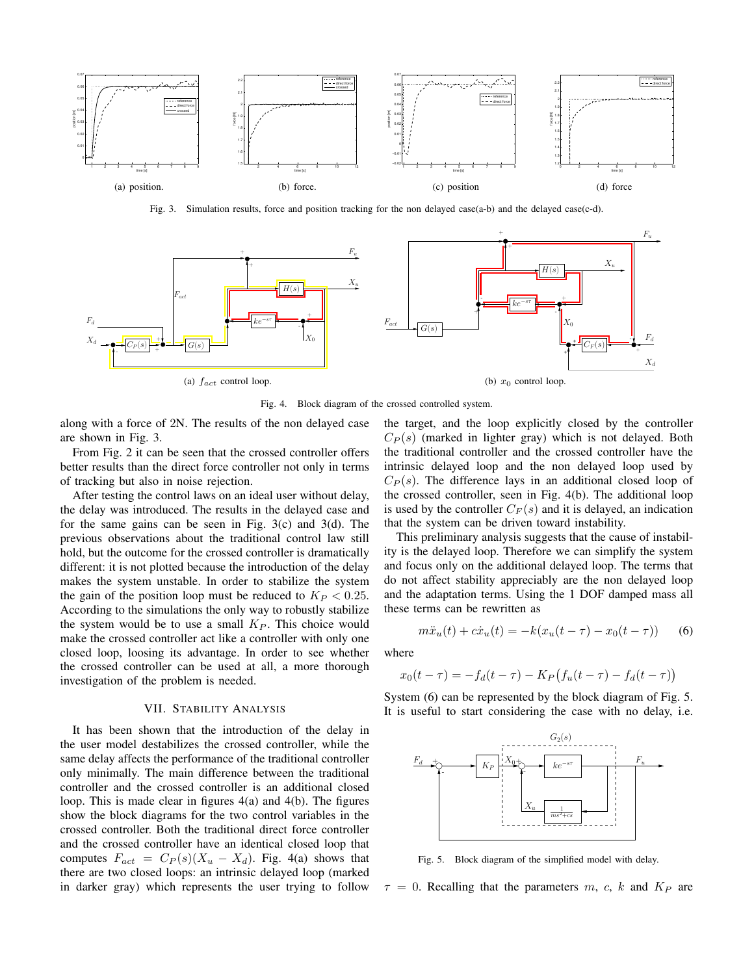

Fig. 3. Simulation results, force and position tracking for the non delayed case(a-b) and the delayed case(c-d).



Fig. 4. Block diagram of the crossed controlled system.

along with a force of 2N. The results of the non delayed case are shown in Fig. 3.

From Fig. 2 it can be seen that the crossed controller offers better results than the direct force controller not only in terms of tracking but also in noise rejection.

After testing the control laws on an ideal user without delay, the delay was introduced. The results in the delayed case and for the same gains can be seen in Fig. 3(c) and 3(d). The previous observations about the traditional control law still hold, but the outcome for the crossed controller is dramatically different: it is not plotted because the introduction of the delay makes the system unstable. In order to stabilize the system the gain of the position loop must be reduced to  $K_P < 0.25$ . According to the simulations the only way to robustly stabilize the system would be to use a small  $K<sub>P</sub>$ . This choice would make the crossed controller act like a controller with only one closed loop, loosing its advantage. In order to see whether the crossed controller can be used at all, a more thorough investigation of the problem is needed.

## VII. STABILITY ANALYSIS

It has been shown that the introduction of the delay in the user model destabilizes the crossed controller, while the same delay affects the performance of the traditional controller only minimally. The main difference between the traditional controller and the crossed controller is an additional closed loop. This is made clear in figures 4(a) and 4(b). The figures show the block diagrams for the two control variables in the crossed controller. Both the traditional direct force controller and the crossed controller have an identical closed loop that computes  $F_{act} = C_P(s)(X_u - X_d)$ . Fig. 4(a) shows that there are two closed loops: an intrinsic delayed loop (marked in darker gray) which represents the user trying to follow the target, and the loop explicitly closed by the controller  $C_P(s)$  (marked in lighter gray) which is not delayed. Both the traditional controller and the crossed controller have the intrinsic delayed loop and the non delayed loop used by  $C_P(s)$ . The difference lays in an additional closed loop of the crossed controller, seen in Fig. 4(b). The additional loop is used by the controller  $C_F(s)$  and it is delayed, an indication that the system can be driven toward instability.

This preliminary analysis suggests that the cause of instability is the delayed loop. Therefore we can simplify the system and focus only on the additional delayed loop. The terms that do not affect stability appreciably are the non delayed loop and the adaptation terms. Using the 1 DOF damped mass all these terms can be rewritten as

$$
m\ddot{x}_u(t) + c\dot{x}_u(t) = -k(x_u(t-\tau) - x_0(t-\tau))
$$
 (6)

where

$$
x_0(t - \tau) = -f_d(t - \tau) - K_P(f_u(t - \tau) - f_d(t - \tau))
$$

System (6) can be represented by the block diagram of Fig. 5. It is useful to start considering the case with no delay, i.e.



Fig. 5. Block diagram of the simplified model with delay.

 $\tau = 0$ . Recalling that the parameters m, c, k and  $K_P$  are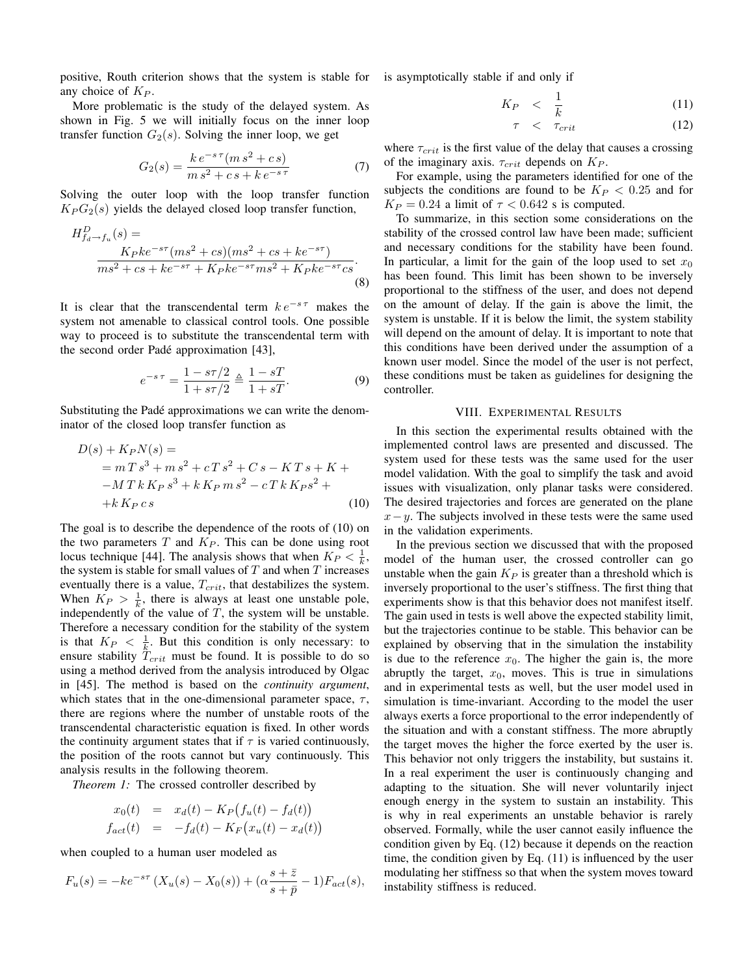positive, Routh criterion shows that the system is stable for any choice of  $K_P$ .

More problematic is the study of the delayed system. As shown in Fig. 5 we will initially focus on the inner loop transfer function  $G_2(s)$ . Solving the inner loop, we get

$$
G_2(s) = \frac{k e^{-s\tau} (m s^2 + c s)}{m s^2 + c s + k e^{-s\tau}}
$$
(7)

Solving the outer loop with the loop transfer function  $K_P G_2(s)$  yields the delayed closed loop transfer function,

$$
H_{fa \to fu}^D(s) =
$$
  
\n
$$
K_P k e^{-s\tau} (ms^2 + cs) (ms^2 + cs + ke^{-s\tau})
$$
  
\n
$$
ms^2 + cs + ke^{-s\tau} + K_P k e^{-s\tau} ms^2 + K_P k e^{-s\tau} cs.
$$
\n(8)

It is clear that the transcendental term  $ke^{-s\tau}$  makes the system not amenable to classical control tools. One possible way to proceed is to substitute the transcendental term with the second order Pade approximation [43], ´

$$
e^{-s\tau} = \frac{1 - s\tau/2}{1 + s\tau/2} \triangleq \frac{1 - sT}{1 + sT}.
$$
 (9)

Substituting the Padé approximations we can write the denominator of the closed loop transfer function as

$$
D(s) + K_P N(s) =
$$
  
=  $mT s^3 + m s^2 + cT s^2 + C s - KT s + K +$   
 $-M T k K_P s^3 + k K_P m s^2 - cT k K_P s^2 +$   
+  $k K_P c s$  (10)

The goal is to describe the dependence of the roots of (10) on the two parameters  $T$  and  $K_P$ . This can be done using root locus technique [44]. The analysis shows that when  $K_P < \frac{1}{k}$ , the system is stable for small values of  $T$  and when  $T$  increases eventually there is a value,  $T_{crit}$ , that destabilizes the system. When  $K_P > \frac{1}{k}$ , there is always at least one unstable pole, independently of the value of  $T$ , the system will be unstable. Therefore a necessary condition for the stability of the system is that  $K_P < \frac{1}{k}$ . But this condition is only necessary: to ensure stability  $T_{crit}$  must be found. It is possible to do so using a method derived from the analysis introduced by Olgac in [45]. The method is based on the *continuity argument*, which states that in the one-dimensional parameter space,  $\tau$ , there are regions where the number of unstable roots of the transcendental characteristic equation is fixed. In other words the continuity argument states that if  $\tau$  is varied continuously, the position of the roots cannot but vary continuously. This analysis results in the following theorem.

*Theorem 1:* The crossed controller described by

$$
x_0(t) = x_d(t) - K_P(f_u(t) - f_d(t))
$$
  
\n
$$
f_{act}(t) = -f_d(t) - K_F(x_u(t) - x_d(t))
$$

when coupled to a human user modeled as

$$
F_u(s) = -ke^{-s\tau} (X_u(s) - X_0(s)) + (\alpha \frac{s + \bar{z}}{s + \bar{p}} - 1) F_{act}(s),
$$

is asymptotically stable if and only if

$$
K_P \quad < \quad \frac{1}{k} \tag{11}
$$

$$
\tau \quad < \quad \tau_{crit} \tag{12}
$$

where  $\tau_{crit}$  is the first value of the delay that causes a crossing of the imaginary axis.  $\tau_{crit}$  depends on  $K_P$ .

For example, using the parameters identified for one of the subjects the conditions are found to be  $K_P < 0.25$  and for  $K_P = 0.24$  a limit of  $\tau < 0.642$  s is computed.

To summarize, in this section some considerations on the stability of the crossed control law have been made; sufficient and necessary conditions for the stability have been found. In particular, a limit for the gain of the loop used to set  $x_0$ has been found. This limit has been shown to be inversely proportional to the stiffness of the user, and does not depend on the amount of delay. If the gain is above the limit, the system is unstable. If it is below the limit, the system stability will depend on the amount of delay. It is important to note that this conditions have been derived under the assumption of a known user model. Since the model of the user is not perfect, these conditions must be taken as guidelines for designing the controller.

## VIII. EXPERIMENTAL RESULTS

In this section the experimental results obtained with the implemented control laws are presented and discussed. The system used for these tests was the same used for the user model validation. With the goal to simplify the task and avoid issues with visualization, only planar tasks were considered. The desired trajectories and forces are generated on the plane  $x-y$ . The subjects involved in these tests were the same used in the validation experiments.

In the previous section we discussed that with the proposed model of the human user, the crossed controller can go unstable when the gain  $K_P$  is greater than a threshold which is inversely proportional to the user's stiffness. The first thing that experiments show is that this behavior does not manifest itself. The gain used in tests is well above the expected stability limit, but the trajectories continue to be stable. This behavior can be explained by observing that in the simulation the instability is due to the reference  $x_0$ . The higher the gain is, the more abruptly the target,  $x_0$ , moves. This is true in simulations and in experimental tests as well, but the user model used in simulation is time-invariant. According to the model the user always exerts a force proportional to the error independently of the situation and with a constant stiffness. The more abruptly the target moves the higher the force exerted by the user is. This behavior not only triggers the instability, but sustains it. In a real experiment the user is continuously changing and adapting to the situation. She will never voluntarily inject enough energy in the system to sustain an instability. This is why in real experiments an unstable behavior is rarely observed. Formally, while the user cannot easily influence the condition given by Eq. (12) because it depends on the reaction time, the condition given by Eq. (11) is influenced by the user modulating her stiffness so that when the system moves toward instability stiffness is reduced.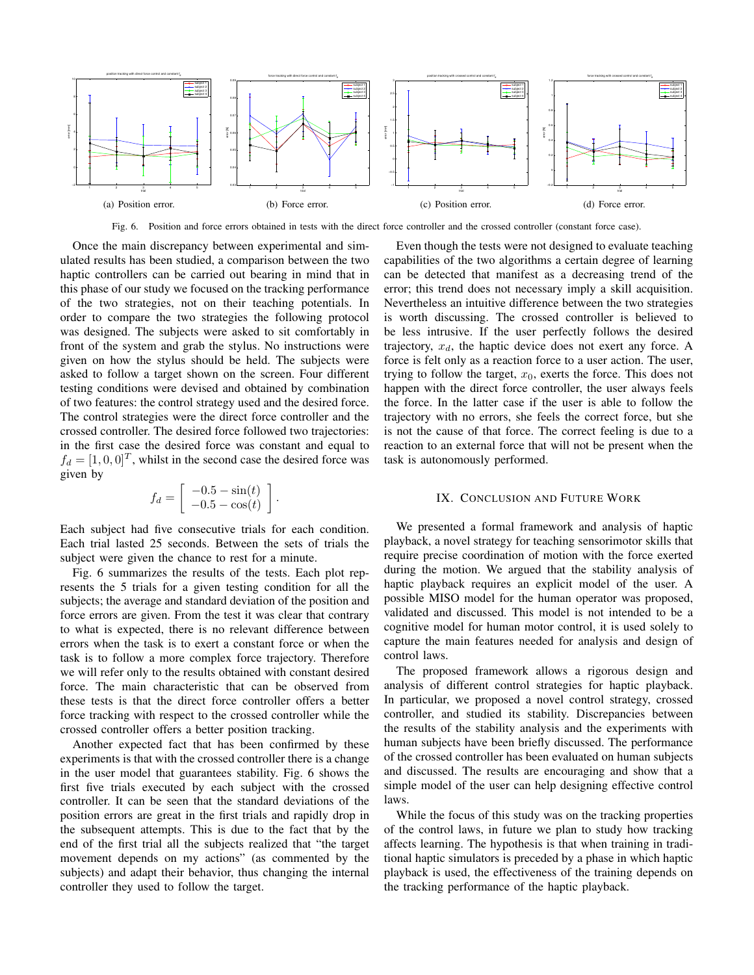

Fig. 6. Position and force errors obtained in tests with the direct force controller and the crossed controller (constant force case).

Once the main discrepancy between experimental and simulated results has been studied, a comparison between the two haptic controllers can be carried out bearing in mind that in this phase of our study we focused on the tracking performance of the two strategies, not on their teaching potentials. In order to compare the two strategies the following protocol was designed. The subjects were asked to sit comfortably in front of the system and grab the stylus. No instructions were given on how the stylus should be held. The subjects were asked to follow a target shown on the screen. Four different testing conditions were devised and obtained by combination of two features: the control strategy used and the desired force. The control strategies were the direct force controller and the crossed controller. The desired force followed two trajectories: in the first case the desired force was constant and equal to  $f_d = [1, 0, 0]^T$ , whilst in the second case the desired force was given by

$$
f_d = \left[ \begin{array}{c} -0.5 - \sin(t) \\ -0.5 - \cos(t) \end{array} \right].
$$

Each subject had five consecutive trials for each condition. Each trial lasted 25 seconds. Between the sets of trials the subject were given the chance to rest for a minute.

Fig. 6 summarizes the results of the tests. Each plot represents the 5 trials for a given testing condition for all the subjects; the average and standard deviation of the position and force errors are given. From the test it was clear that contrary to what is expected, there is no relevant difference between errors when the task is to exert a constant force or when the task is to follow a more complex force trajectory. Therefore we will refer only to the results obtained with constant desired force. The main characteristic that can be observed from these tests is that the direct force controller offers a better force tracking with respect to the crossed controller while the crossed controller offers a better position tracking.

Another expected fact that has been confirmed by these experiments is that with the crossed controller there is a change in the user model that guarantees stability. Fig. 6 shows the first five trials executed by each subject with the crossed controller. It can be seen that the standard deviations of the position errors are great in the first trials and rapidly drop in the subsequent attempts. This is due to the fact that by the end of the first trial all the subjects realized that "the target movement depends on my actions" (as commented by the subjects) and adapt their behavior, thus changing the internal controller they used to follow the target.

Even though the tests were not designed to evaluate teaching capabilities of the two algorithms a certain degree of learning can be detected that manifest as a decreasing trend of the error; this trend does not necessary imply a skill acquisition. Nevertheless an intuitive difference between the two strategies is worth discussing. The crossed controller is believed to be less intrusive. If the user perfectly follows the desired trajectory,  $x_d$ , the haptic device does not exert any force. A force is felt only as a reaction force to a user action. The user, trying to follow the target,  $x_0$ , exerts the force. This does not happen with the direct force controller, the user always feels the force. In the latter case if the user is able to follow the trajectory with no errors, she feels the correct force, but she is not the cause of that force. The correct feeling is due to a reaction to an external force that will not be present when the task is autonomously performed.

## IX. CONCLUSION AND FUTURE WORK

We presented a formal framework and analysis of haptic playback, a novel strategy for teaching sensorimotor skills that require precise coordination of motion with the force exerted during the motion. We argued that the stability analysis of haptic playback requires an explicit model of the user. A possible MISO model for the human operator was proposed, validated and discussed. This model is not intended to be a cognitive model for human motor control, it is used solely to capture the main features needed for analysis and design of control laws.

The proposed framework allows a rigorous design and analysis of different control strategies for haptic playback. In particular, we proposed a novel control strategy, crossed controller, and studied its stability. Discrepancies between the results of the stability analysis and the experiments with human subjects have been briefly discussed. The performance of the crossed controller has been evaluated on human subjects and discussed. The results are encouraging and show that a simple model of the user can help designing effective control laws.

While the focus of this study was on the tracking properties of the control laws, in future we plan to study how tracking affects learning. The hypothesis is that when training in traditional haptic simulators is preceded by a phase in which haptic playback is used, the effectiveness of the training depends on the tracking performance of the haptic playback.